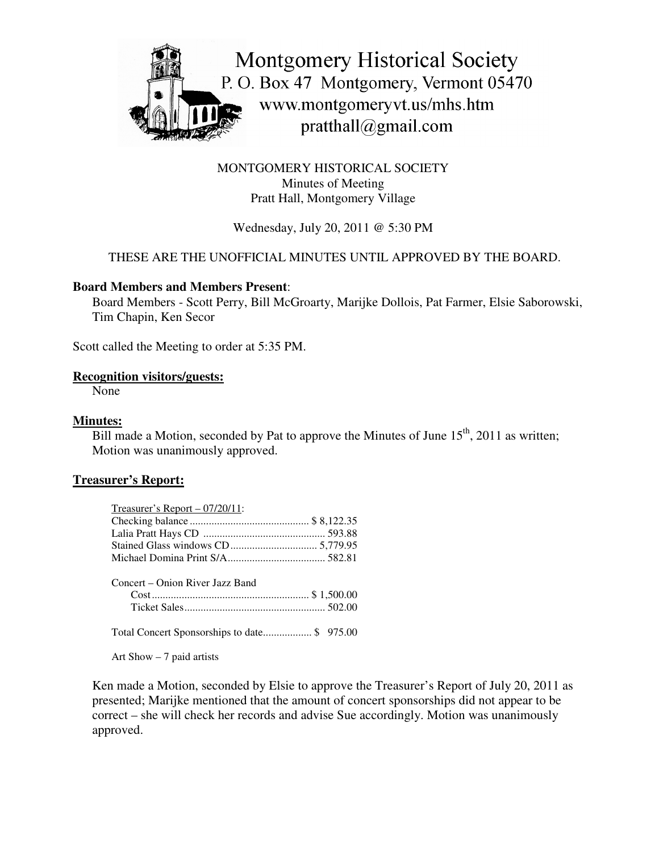

MONTGOMERY HISTORICAL SOCIETY Minutes of Meeting Pratt Hall, Montgomery Village

### Wednesday, July 20, 2011 @ 5:30 PM

## THESE ARE THE UNOFFICIAL MINUTES UNTIL APPROVED BY THE BOARD.

#### **Board Members and Members Present**:

Board Members - Scott Perry, Bill McGroarty, Marijke Dollois, Pat Farmer, Elsie Saborowski, Tim Chapin, Ken Secor

Scott called the Meeting to order at 5:35 PM.

#### **Recognition visitors/guests:**

None

#### **Minutes:**

 $\overline{Bill}$  made a Motion, seconded by Pat to approve the Minutes of June  $15<sup>th</sup>$ , 2011 as written; Motion was unanimously approved.

#### **Treasurer's Report:**

| Treasurer's Report $-07/20/11$ : |  |
|----------------------------------|--|
|                                  |  |
|                                  |  |
|                                  |  |
|                                  |  |
| Concert – Onion River Jazz Band  |  |
|                                  |  |
|                                  |  |

Total Concert Sponsorships to date.................. \$ 975.00

Art Show – 7 paid artists

Ken made a Motion, seconded by Elsie to approve the Treasurer's Report of July 20, 2011 as presented; Marijke mentioned that the amount of concert sponsorships did not appear to be correct – she will check her records and advise Sue accordingly. Motion was unanimously approved.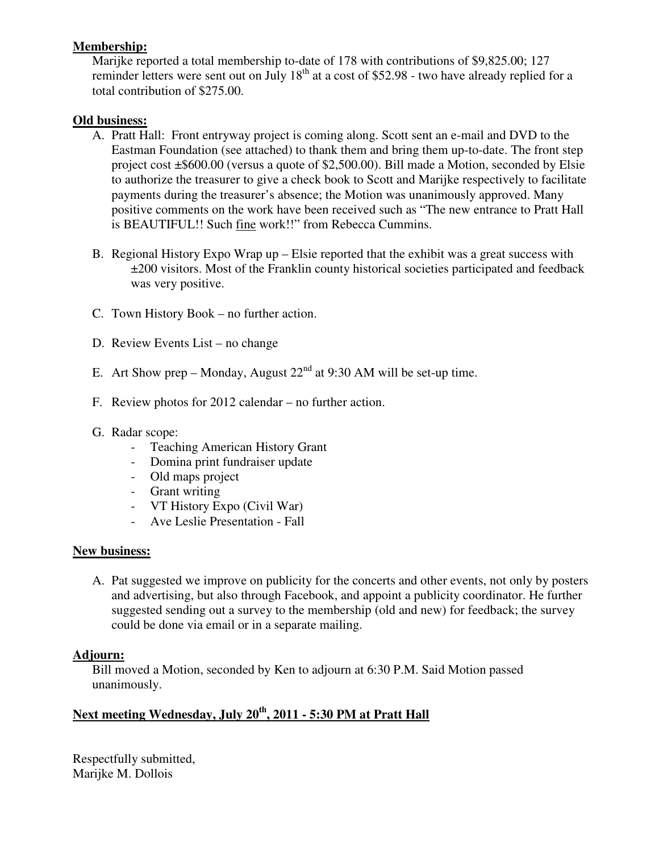### **Membership:**

Marijke reported a total membership to-date of 178 with contributions of \$9,825.00; 127 reminder letters were sent out on July 18<sup>th</sup> at a cost of \$52.98 - two have already replied for a total contribution of \$275.00.

### **Old business:**

- A. Pratt Hall: Front entryway project is coming along. Scott sent an e-mail and DVD to the Eastman Foundation (see attached) to thank them and bring them up-to-date. The front step project cost ±\$600.00 (versus a quote of \$2,500.00). Bill made a Motion, seconded by Elsie to authorize the treasurer to give a check book to Scott and Marijke respectively to facilitate payments during the treasurer's absence; the Motion was unanimously approved. Many positive comments on the work have been received such as "The new entrance to Pratt Hall is BEAUTIFUL!! Such fine work!!" from Rebecca Cummins.
- B. Regional History Expo Wrap up Elsie reported that the exhibit was a great success with ±200 visitors. Most of the Franklin county historical societies participated and feedback was very positive.
- C. Town History Book no further action.
- D. Review Events List no change
- E. Art Show prep Monday, August  $22<sup>nd</sup>$  at 9:30 AM will be set-up time.
- F. Review photos for 2012 calendar no further action.
- G. Radar scope:
	- Teaching American History Grant
	- Domina print fundraiser update
	- Old maps project
	- Grant writing
	- VT History Expo (Civil War)
	- Ave Leslie Presentation Fall

### **New business:**

A. Pat suggested we improve on publicity for the concerts and other events, not only by posters and advertising, but also through Facebook, and appoint a publicity coordinator. He further suggested sending out a survey to the membership (old and new) for feedback; the survey could be done via email or in a separate mailing.

### **Adjourn:**

Bill moved a Motion, seconded by Ken to adjourn at 6:30 P.M. Said Motion passed unanimously.

# **Next meeting Wednesday, July 20 th , 2011 - 5:30 PM at Pratt Hall**

Respectfully submitted, Marijke M. Dollois